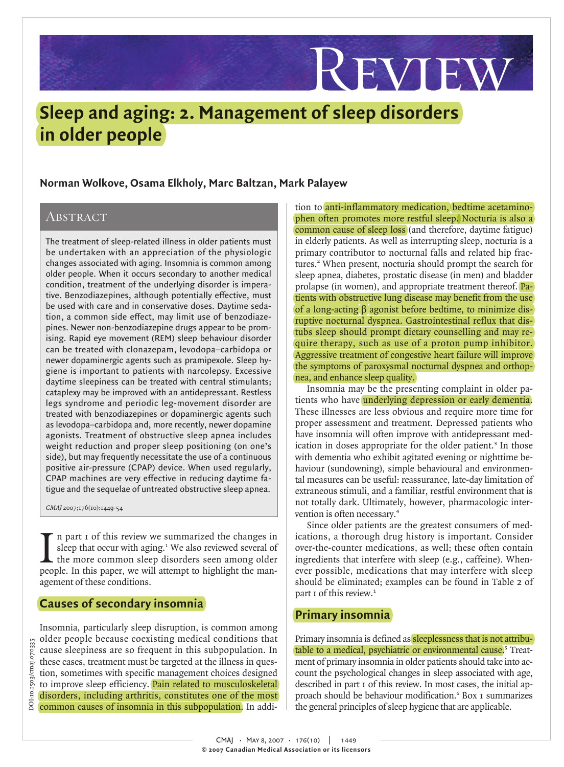### **Sleep and aging: 2. Management of sleep disorders in older people**

#### **Norman Wolkove, Osama Elkholy, Marc Baltzan, Mark Palayew**

### **ABSTRACT**

The treatment of sleep-related illness in older patients must be undertaken with an appreciation of the physiologic changes associated with aging. Insomnia is common among older people. When it occurs secondary to another medical condition, treatment of the underlying disorder is imperative. Benzodiazepines, although potentially effective, must be used with care and in conservative doses. Daytime sedation, a common side effect, may limit use of benzodiazepines. Newer non-benzodiazepine drugs appear to be promising. Rapid eye movement (REM) sleep behaviour disorder can be treated with clonazepam, levodopa–carbidopa or newer dopaminergic agents such as pramipexole. Sleep hygiene is important to patients with narcolepsy. Excessive daytime sleepiness can be treated with central stimulants; cataplexy may be improved with an antidepressant. Restless legs syndrome and periodic leg-movement disorder are treated with benzodiazepines or dopaminergic agents such as levodopa–carbidopa and, more recently, newer dopamine agonists. Treatment of obstructive sleep apnea includes weight reduction and proper sleep positioning (on one's side), but may frequently necessitate the use of a continuous positive air-pressure (CPAP) device. When used regularly, CPAP machines are very effective in reducing daytime fatigue and the sequelae of untreated obstructive sleep apnea.

CMAJ 2007;176(10):1449-54

I n part 1 of this review we summarized the changes in sleep that occur with aging.<sup>1</sup> We also reviewed several of the more common sleep disorders seen among older people. In this paper, we will attempt to highlight the ma n part 1 of this review we summarized the changes in sleep that occur with aging.<sup>1</sup> We also reviewed several of the more common sleep disorders seen among older agement of these conditions.

#### **Causes of secondary insomnia**

DOI:10.1503/cmaj.070335 io.

Insomnia, particularly sleep disruption, is common among older people because coexisting medical conditions that cause sleepiness are so frequent in this subpopulation. In these cases, treatment must be targeted at the illness in question, sometimes with specific management choices designed to improve sleep efficiency. <mark>Pain related to musculoskeletal</mark> disorders, including arthritis, constitutes one of the most common causes of insomnia in this subpopulation. In addi-

tion to anti-inflammatory medication, bedtime acetaminophen often promotes more restful sleep. Nocturia is also a common cause of sleep loss (and therefore, daytime fatigue) in elderly patients. As well as interrupting sleep, nocturia is a primary contributor to nocturnal falls and related hip fractures.<sup>2</sup> When present, nocturia should prompt the search for sleep apnea, diabetes, prostatic disease (in men) and bladder prolapse (in women), and appropriate treatment thereof. Patients with obstructive lung disease may benefit from the use of a long-acting β agonist before bedtime, to minimize disruptive nocturnal dyspnea. Gastrointestinal reflux that distubs sleep should prompt dietary counselling and may require therapy, such as use of a proton pump inhibitor. Aggressive treatment of congestive heart failure will improve the symptoms of paroxysmal nocturnal dyspnea and orthopnea, and enhance sleep quality.

Review

Insomnia may be the presenting complaint in older patients who have underlying depression or early dementia. These illnesses are less obvious and require more time for proper assessment and treatment. Depressed patients who have insomnia will often improve with antidepressant medication in doses appropriate for the older patient.<sup>3</sup> In those with dementia who exhibit agitated evening or nighttime behaviour (sundowning), simple behavioural and environmental measures can be useful: reassurance, late-day limitation of extraneous stimuli, and a familiar, restful environment that is not totally dark. Ultimately, however, pharmacologic intervention is often necessary.<sup>4</sup>

Since older patients are the greatest consumers of medications, a thorough drug history is important. Consider over-the-counter medications, as well; these often contain ingredients that interfere with sleep (e.g., caffeine). Whenever possible, medications that may interfere with sleep should be eliminated; examples can be found in Table 2 of part 1 of this review.<sup>1</sup>

#### **Primary insomnia**

Primary insomnia is defined as sleeplessness that is not attributable to a medical, psychiatric or environmental cause.<sup>5</sup> Treatment of primary insomnia in older patients should take into account the psychological changes in sleep associated with age, described in part 1 of this review. In most cases, the initial approach should be behaviour modification.<sup>6</sup> Box 1 summarizes the general principles of sleep hygiene that are applicable.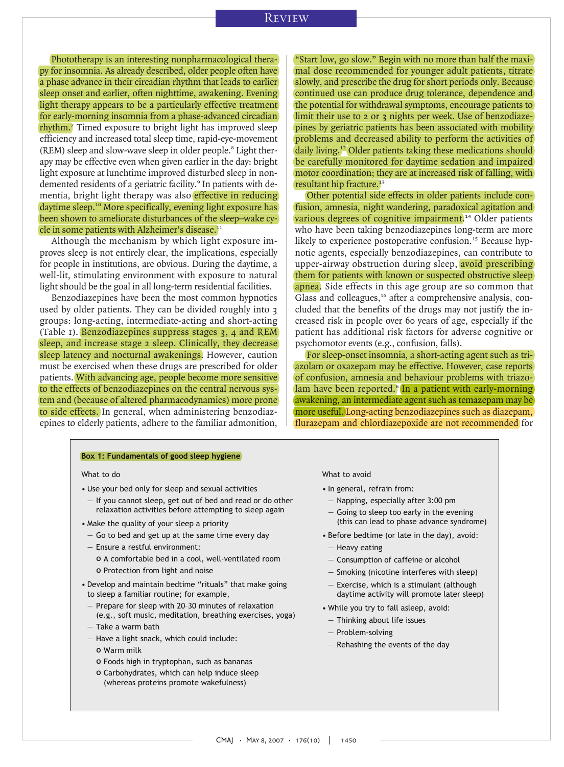Phototherapy is an interesting nonpharmacological therapy for insomnia. As already described, older people often have a phase advance in their circadian rhythm that leads to earlier sleep onset and earlier, often nighttime, awakening. Evening light therapy appears to be a particularly effective treatment for early-morning insomnia from a phase-advanced circadian rhythm.<sup>7</sup> Timed exposure to bright light has improved sleep efficiency and increased total sleep time, rapid-eye-movement (REM) sleep and slow-wave sleep in older people.<sup>8</sup> Light therapy may be effective even when given earlier in the day: bright light exposure at lunchtime improved disturbed sleep in nondemented residents of a geriatric facility.<sup>9</sup> In patients with dementia, bright light therapy was also effective in reducing daytime sleep.<sup>10</sup> More specifically, evening light exposure has been shown to ameliorate disturbances of the sleep–wake cycle in some patients with Alzheimer's disease. $11$ 

Although the mechanism by which light exposure improves sleep is not entirely clear, the implications, especially for people in institutions, are obvious. During the daytime, a well-lit, stimulating environment with exposure to natural light should be the goal in all long-term residential facilities.

Benzodiazepines have been the most common hypnotics used by older patients. They can be divided roughly into 3 groups: long-acting, intermediate-acting and short-acting (Table 1). Benzodiazepines suppress stages 3, 4 and REM sleep, and increase stage 2 sleep. Clinically, they decrease sleep latency and nocturnal awakenings. However, caution must be exercised when these drugs are prescribed for older patients. With advancing age, people become more sensitive to the effects of benzodiazepines on the central nervous system and (because of altered pharmacodynamics) more prone to side effects. In general, when administering benzodiazepines to elderly patients, adhere to the familiar admonition,

"Start low, go slow." Begin with no more than half the maximal dose recommended for younger adult patients, titrate slowly, and prescribe the drug for short periods only. Because continued use can produce drug tolerance, dependence and the potential for withdrawal symptoms, encourage patients to limit their use to 2 or 3 nights per week. Use of benzodiazepines by geriatric patients has been associated with mobility problems and decreased ability to perform the activities of daily living.<sup>12</sup> Older patients taking these medications should be carefully monitored for daytime sedation and impaired motor coordination; they are at increased risk of falling, with resultant hip fracture.<sup>13</sup>

Other potential side effects in older patients include confusion, amnesia, night wandering, paradoxical agitation and various degrees of cognitive impairment.<sup>14</sup> Older patients who have been taking benzodiazepines long-term are more likely to experience postoperative confusion.<sup>15</sup> Because hypnotic agents, especially benzodiazepines, can contribute to upper-airway obstruction during sleep, avoid prescribing them for patients with known or suspected obstructive sleep apnea. Side effects in this age group are so common that Glass and colleagues,<sup>16</sup> after a comprehensive analysis, concluded that the benefits of the drugs may not justify the increased risk in people over 60 years of age, especially if the patient has additional risk factors for adverse cognitive or psychomotor events (e.g., confusion, falls).

For sleep-onset insomnia, a short-acting agent such as triazolam or oxazepam may be effective. However, case reports of confusion, amnesia and behaviour problems with triazolam have been reported. $6$  In a patient with early-morning awakening, an intermediate agent such as temazepam may be more useful. Long-acting benzodiazepines such as diazepam, flurazepam and chlordiazepoxide are not recommended for

#### **Box 1: Fundamentals of good sleep hygiene**

- Use your bed only for sleep and sexual activities
- If you cannot sleep, get out of bed and read or do other relaxation activities before attempting to sleep again
- Make the quality of your sleep a priority
- Go to bed and get up at the same time every day
- Ensure a restful environment:
	- º A comfortable bed in a cool, well-ventilated room o Protection from light and noise
- Develop and maintain bedtime "rituals" that make going to sleep a familiar routine; for example,
- Prepare for sleep with 20-30 minutes of relaxation (e.g., soft music, meditation, breathing exercises, yoga)
- Take a warm bath
- Have a light snack, which could include:
	- º Warm milk
	- º Foods high in tryptophan, such as bananas
	- º Carbohydrates, which can help induce sleep (whereas proteins promote wakefulness)

#### What to do What to avoid

- In general, refrain from:
	- Napping, especially after 3:00 pm
- Going to sleep too early in the evening (this can lead to phase advance syndrome)
- Before bedtime (or late in the day), avoid:
- Heavy eating
- Consumption of caffeine or alcohol
- Smoking (nicotine interferes with sleep)
- Exercise, which is a stimulant (although daytime activity will promote later sleep)
- While you try to fall asleep, avoid:
	- Thinking about life issues
- Problem-solving
- Rehashing the events of the day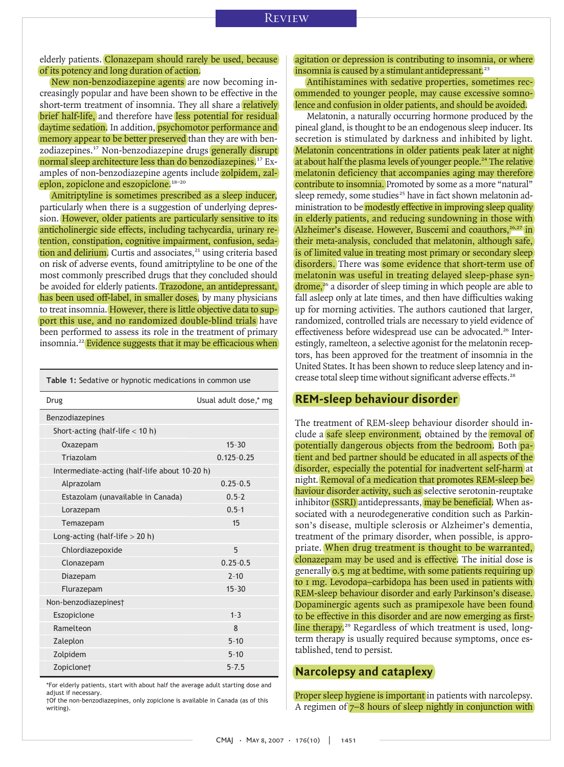elderly patients. Clonazepam should rarely be used, because of its potency and long duration of action.

New non-benzodiazepine agents are now becoming increasingly popular and have been shown to be effective in the short-term treatment of insomnia. They all share a relatively brief half-life, and therefore have less potential for residual daytime sedation. In addition, psychomotor performance and memory appear to be better preserved than they are with benzodiazepines.<sup>17</sup> Non-benzodiazepine drugs **generally disrupt** normal sleep architecture less than do benzodiazepines.<sup>17</sup> Examples of non-benzodiazepine agents include zolpidem, zaleplon, zopiclone and eszopiclone.18–20

Amitriptyline is sometimes prescribed as a sleep inducer, particularly when there is a suggestion of underlying depression. However, older patients are particularly sensitive to its anticholinergic side effects, including tachycardia, urinary retention, constipation, cognitive impairment, confusion, sedation and delirium. Curtis and associates, $21$  using criteria based on risk of adverse events, found amitriptyline to be one of the most commonly prescribed drugs that they concluded should be avoided for elderly patients. Trazodone, an antidepressant, has been used off-label, in smaller doses, by many physicians to treat insomnia. However, there is little objective data to support this use, and no randomized double-blind trials have been performed to assess its role in the treatment of primary insomnia.<sup>22</sup> Evidence suggests that it may be efficacious when

| Table 1: Sedative or hypnotic medications in common use |  |
|---------------------------------------------------------|--|
|---------------------------------------------------------|--|

| Drug                                          | Usual adult dose,* mg |
|-----------------------------------------------|-----------------------|
| Benzodiazepines                               |                       |
| Short-acting (half-life $<$ 10 h)             |                       |
| Oxazepam                                      | $15 - 30$             |
| Triazolam                                     | $0.125 - 0.25$        |
| Intermediate-acting (half-life about 10-20 h) |                       |
| Alprazolam                                    | $0.25 - 0.5$          |
| Estazolam (unavailable in Canada)             | $0.5 - 2$             |
| Lorazepam                                     | $0.5 - 1$             |
| Temazepam                                     | 15                    |
| Long-acting (half-life $> 20$ h)              |                       |
| Chlordiazepoxide                              | 5                     |
| Clonazepam                                    | $0.25 - 0.5$          |
| Diazepam                                      | $2 - 10$              |
| Flurazepam                                    | $15 - 30$             |
| Non-benzodiazepines†                          |                       |
| Eszopiclone                                   | $1 - 3$               |
| Ramelteon                                     | 8                     |
| Zaleplon                                      | $5 - 10$              |
| Zolpidem                                      | $5 - 10$              |
| Zopiclone†                                    | $5 - 7.5$             |

\*For elderly patients, start with about half the average adult starting dose and adjust if necessary.

†Of the non-benzodiazepines, only zopiclone is available in Canada (as of this writing).

agitation or depression is contributing to insomnia, or where insomnia is caused by a stimulant antidepressant. $23$ 

Antihistamines with sedative properties, sometimes recommended to younger people, may cause excessive somnolence and confusion in older patients, and should be avoided.

Melatonin, a naturally occurring hormone produced by the pineal gland, is thought to be an endogenous sleep inducer. Its secretion is stimulated by darkness and inhibited by light. Melatonin concentrations in older patients peak later at night at about half the plasma levels of younger people.<sup>24</sup> The relative melatonin deficiency that accompanies aging may therefore contribute to insomnia. Promoted by some as a more "natural" sleep remedy, some studies<sup>25</sup> have in fact shown melatonin administration to be modestly effective in improving sleep quality in elderly patients, and reducing sundowning in those with Alzheimer's disease. However, Buscemi and coauthors, $26,27$  in their meta-analysis, concluded that melatonin, although safe, is of limited value in treating most primary or secondary sleep disorders. There was some evidence that short-term use of melatonin was useful in treating delayed sleep-phase syn $d$ rome, $26$  a disorder of sleep timing in which people are able to fall asleep only at late times, and then have difficulties waking up for morning activities. The authors cautioned that larger, randomized, controlled trials are necessary to yield evidence of effectiveness before widespread use can be advocated.<sup>26</sup> Interestingly, ramelteon, a selective agonist for the melatonin receptors, has been approved for the treatment of insomnia in the United States. It has been shown to reduce sleep latency and increase total sleep time without significant adverse effects.<sup>28</sup>

#### **REM-sleep behaviour disorder**

The treatment of REM-sleep behaviour disorder should include a safe sleep environment, obtained by the removal of potentially dangerous objects from the bedroom. Both patient and bed partner should be educated in all aspects of the disorder, especially the potential for inadvertent self-harm at night. Removal of a medication that promotes REM-sleep behaviour disorder activity, such as selective serotonin-reuptake inhibitor (SSRI) antidepressants, may be beneficial. When associated with a neurodegenerative condition such as Parkinson's disease, multiple sclerosis or Alzheimer's dementia, treatment of the primary disorder, when possible, is appropriate. When drug treatment is thought to be warranted, clonazepam may be used and is effective. The initial dose is generally 0.5 mg at bedtime, with some patients requiring up to 1 mg. Levodopa–carbidopa has been used in patients with REM-sleep behaviour disorder and early Parkinson's disease. Dopaminergic agents such as pramipexole have been found to be effective in this disorder and are now emerging as firstline therapy.<sup>29</sup> Regardless of which treatment is used, longterm therapy is usually required because symptoms, once established, tend to persist.

#### **Narcolepsy and cataplexy**

Proper sleep hygiene is important in patients with narcolepsy. A regimen of  $7-8$  hours of sleep nightly in conjunction with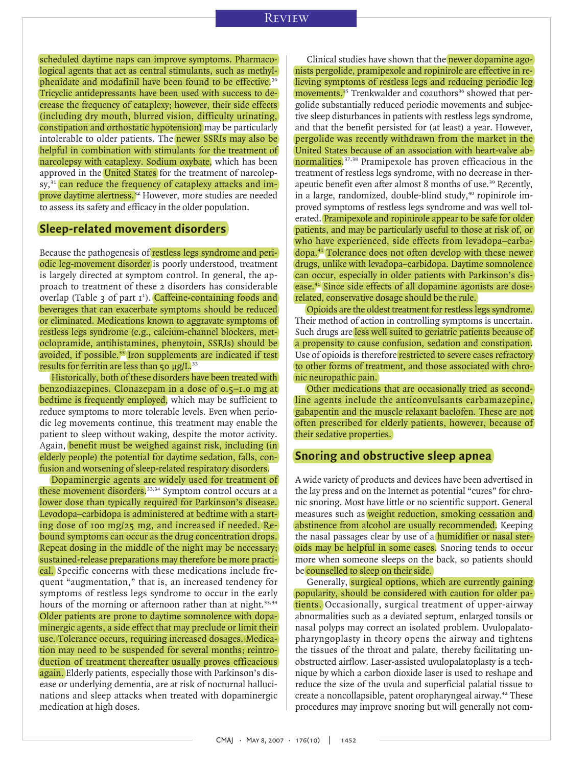scheduled daytime naps can improve symptoms. Pharmacological agents that act as central stimulants, such as methylphenidate and modafinil have been found to be effective.<sup>30</sup> Tricyclic antidepressants have been used with success to decrease the frequency of cataplexy; however, their side effects (including dry mouth, blurred vision, difficulty urinating, constipation and orthostatic hypotension) may be particularly intolerable to older patients. The newer SSRIs may also be helpful in combination with stimulants for the treatment of narcolepsy with cataplexy. Sodium oxybate, which has been approved in the United States for the treatment of narcolep $sys<sub>31</sub>$  can reduce the frequency of cataplexy attacks and improve daytime alertness.<sup>32</sup> However, more studies are needed to assess its safety and efficacy in the older population.

#### **Sleep-related movement disorders**

Because the pathogenesis of restless legs syndrome and periodic leg-movement disorder is poorly understood, treatment is largely directed at symptom control. In general, the approach to treatment of these 2 disorders has considerable -<br>overlap (Table 3 of part 1<sup>1</sup>). <mark>Caffeine-containing foods and</mark> beverages that can exacerbate symptoms should be reduced or eliminated. Medications known to aggravate symptoms of restless legs syndrome (e.g., calcium-channel blockers, metoclopramide, antihistamines, phenytoin, SSRIs) should be avoided, if possible.<sup>33</sup> Iron supplements are indicated if test results for ferritin are less than 50  $\mu$ g/L.<sup>33</sup>

Historically, both of these disorders have been treated with benzodiazepines. Clonazepam in a dose of 0.5–1.0 mg at bedtime is frequently employed, which may be sufficient to reduce symptoms to more tolerable levels. Even when periodic leg movements continue, this treatment may enable the patient to sleep without waking, despite the motor activity. Again, benefit must be weighed against risk, including (in elderly people) the potential for daytime sedation, falls, confusion and worsening of sleep-related respiratory disorders.

Dopaminergic agents are widely used for treatment of these movement disorders.<sup>33,34</sup> Symptom control occurs at a lower dose than typically required for Parkinson's disease. Levodopa–carbidopa is administered at bedtime with a starting dose of 100 mg/25 mg, and increased if needed.  $Re$ bound symptoms can occur as the drug concentration drops. Repeat dosing in the middle of the night may be necessary; sustained-release preparations may therefore be more practical. Specific concerns with these medications include frequent "augmentation," that is, an increased tendency for symptoms of restless legs syndrome to occur in the early hours of the morning or afternoon rather than at night.<sup>33,34</sup> Older patients are prone to daytime somnolence with dopaminergic agents, a side effect that may preclude or limit their use. Tolerance occurs, requiring increased dosages. Medication may need to be suspended for several months; reintroduction of treatment thereafter usually proves efficacious again. Elderly patients, especially those with Parkinson's disease or underlying dementia, are at risk of nocturnal hallucinations and sleep attacks when treated with dopaminergic medication at high doses.

Clinical studies have shown that the newer dopamine agonists pergolide, pramipexole and ropinirole are effective in relieving symptoms of restless legs and reducing periodic leg movements.<sup>35</sup> Trenkwalder and coauthors<sup>36</sup> showed that pergolide substantially reduced periodic movements and subjective sleep disturbances in patients with restless legs syndrome, and that the benefit persisted for (at least) a year. However, pergolide was recently withdrawn from the market in the United States because of an association with heart-valve abnormalities.<sup>37,38</sup> Pramipexole has proven efficacious in the treatment of restless legs syndrome, with no decrease in therapeutic benefit even after almost 8 months of use.<sup>39</sup> Recently, in a large, randomized, double-blind study,<sup>40</sup> ropinirole improved symptoms of restless legs syndrome and was well tolerated. Pramipexole and ropinirole appear to be safe for older patients, and may be particularly useful to those at risk of, or who have experienced, side effects from levadopa–carbadopa.<sup>41</sup> Tolerance does not often develop with these newer drugs, unlike with levadopa–carbidopa. Daytime somnolence can occur, especially in older patients with Parkinson's disease.<sup>41</sup> Since side effects of all dopamine agonists are doserelated, conservative dosage should be the rule.

Opioids are the oldest treatment for restless legs syndrome. Their method of action in controlling symptoms is uncertain. Such drugs are less well suited to geriatric patients because of a propensity to cause confusion, sedation and constipation. Use of opioids is therefore restricted to severe cases refractory to other forms of treatment, and those associated with chronic neuropathic pain.

Other medications that are occasionally tried as secondline agents include the anticonvulsants carbamazepine, gabapentin and the muscle relaxant baclofen. These are not often prescribed for elderly patients, however, because of their sedative properties.

#### **Snoring and obstructive sleep apnea**

A wide variety of products and devices have been advertised in the lay press and on the Internet as potential "cures" for chronic snoring. Most have little or no scientific support. General measures such as weight reduction, smoking cessation and abstinence from alcohol are usually recommended. Keeping the nasal passages clear by use of a **humidifier or nasal ster**oids may be helpful in some cases. Snoring tends to occur more when someone sleeps on the back, so patients should be counselled to sleep on their side.

Generally, surgical options, which are currently gaining popularity, should be considered with caution for older patients. Occasionally, surgical treatment of upper-airway abnormalities such as a deviated septum, enlarged tonsils or nasal polyps may correct an isolated problem. Uvulopalatopharyngoplasty in theory opens the airway and tightens the tissues of the throat and palate, thereby facilitating unobstructed airflow. Laser-assisted uvulopalatoplasty is a technique by which a carbon dioxide laser is used to reshape and reduce the size of the uvula and superficial palatial tissue to create a noncollapsible, patent oropharyngeal airway.<sup>42</sup> These procedures may improve snoring but will generally not com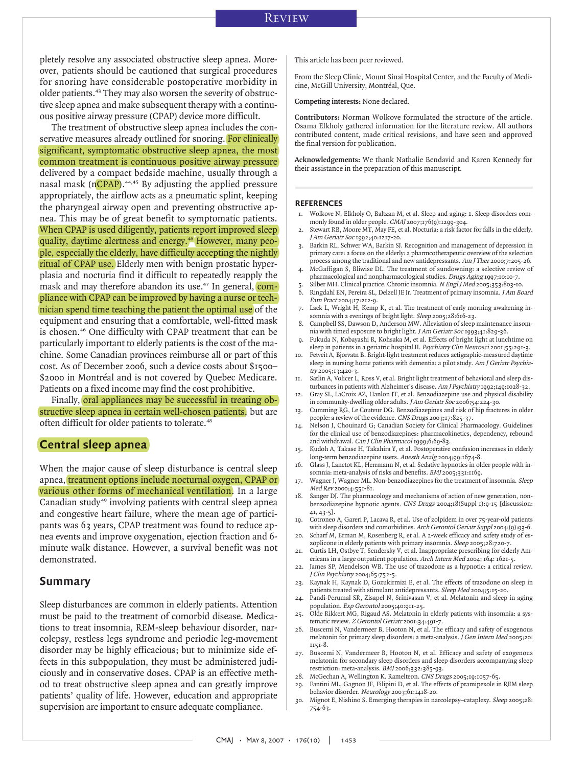pletely resolve any associated obstructive sleep apnea. Moreover, patients should be cautioned that surgical procedures for snoring have considerable postoperative morbidity in older patients.<sup>43</sup> They may also worsen the severity of obstructive sleep apnea and make subsequent therapy with a continuous positive airway pressure (CPAP) device more difficult.

The treatment of obstructive sleep apnea includes the conservative measures already outlined for snoring. For clinically significant, symptomatic obstructive sleep apnea, the most common treatment is continuous positive airway pressure delivered by a compact bedside machine, usually through a nasal mask (nCPAP).<sup>44,45</sup> By adjusting the applied pressure appropriately, the airflow acts as a pneumatic splint, keeping the pharyngeal airway open and preventing obstructive apnea. This may be of great benefit to symptomatic patients. When CPAP is used diligently, patients report improved sleep quality, daytime alertness and energy.<sup>46</sup> However, many people, especially the elderly, have difficulty accepting the nightly ritual of CPAP use. Elderly men with benign prostatic hyperplasia and nocturia find it difficult to repeatedly reapply the mask and may therefore abandon its use.<sup>47</sup> In general, compliance with CPAP can be improved by having a nurse or technician spend time teaching the patient the optimal use of the equipment and ensuring that a comfortable, well-fitted mask is chosen.<sup>46</sup> One difficulty with CPAP treatment that can be particularly important to elderly patients is the cost of the machine. Some Canadian provinces reimburse all or part of this cost. As of December 2006, such a device costs about \$1500– \$2000 in Montréal and is not covered by Quebec Medicare. Patients on a fixed income may find the cost prohibitive.

Finally, oral appliances may be successful in treating obstructive sleep apnea in certain well-chosen patients, but are often difficult for older patients to tolerate.<sup>48</sup>

#### **Central sleep apnea**

When the major cause of sleep disturbance is central sleep apnea, treatment options include nocturnal oxygen, CPAP or various other forms of mechanical ventilation. In a large Canadian study<sup>49</sup> involving patients with central sleep apnea and congestive heart failure, where the mean age of participants was 63 years, CPAP treatment was found to reduce apnea events and improve oxygenation, ejection fraction and 6 minute walk distance. However, a survival benefit was not demonstrated.

#### **Summary**

Sleep disturbances are common in elderly patients. Attention must be paid to the treatment of comorbid disease. Medications to treat insomnia, REM-sleep behaviour disorder, narcolepsy, restless legs syndrome and periodic leg-movement disorder may be highly efficacious; but to minimize side effects in this subpopulation, they must be administered judiciously and in conservative doses. CPAP is an effective method to treat obstructive sleep apnea and can greatly improve patients' quality of life. However, education and appropriate supervision are important to ensure adequate compliance.

This article has been peer reviewed.

From the Sleep Clinic, Mount Sinai Hospital Center, and the Faculty of Medicine, McGill University, Montréal, Que.

**Competing interests:** None declared.

**Contributors:** Norman Wolkove formulated the structure of the article. Osama Elkholy gathered information for the literature review. All authors contributed content, made critical revisions, and have seen and approved the final version for publication.

**Acknowledgements:** We thank Nathalie Bendavid and Karen Kennedy for their assistance in the preparation of this manuscript.

#### **REFERENCES**

- 1. Wolkove N, Elkholy O, Baltzan M, et al. Sleep and aging: 1. Sleep disorders commonly found in older people. CMAJ 2007;176(9):1299-304.
- Stewart RB, Moore MT, May FE, et al. Nocturia: a risk factor for falls in the elderly. J Am Geriatr Soc 1992;40:1217-20.
- 3. Barkin RL, Schwer WA, Barkin SJ. Recognition and management of depression in primary care: a focus on the elderly: a pharmcotherapeutic overview of the selection process among the traditional and new antidepressants. Am J Ther 2000;7:205-26.
- 4. McGaffigan S, Bliwise DL. The treatment of sundowning: a selective review of pharmacological and nonpharmacological studies. Drugs Aging 1997;10:10-7.
- 5. Silber MH. Clinical practice. Chronic insomnia. N Engl J Med 2005;353:803-10. 6. Ringdahl EN, Pereira SL, Delzell JE Jr. Treatment of primary insomnia. J Am Board Fam Pract 2004;17:212-9.
- 7. Lack L, Wright H, Kemp K, et al. The treatment of early morning awakening insomnia with 2 evenings of bright light. Sleep 2005;28:616-23.
- 8. Campbell SS, Dawson D, Anderson MW. Alleviation of sleep maintenance insomnia with timed exposure to bright light. J Am Geriatr Soc 1993;41:829-36.
- Fukuda N, Kobayashi R, Kohsaka M, et al. Effects of bright light at lunchtime on sleep in patients in a geriatric hospital II. Psychiatry Clin Neurosci 2001;55:291-3.
- Fetveit A, Bjorvatn B. Bright-light treatment reduces actigraphic-measured daytime sleep in nursing home patients with dementia: a pilot study. Am J Geriatr Psychiatry 2005;13:420-3.
- 11. Satlin A, Volicer L, Ross V, et al. Bright light treatment of behavioral and sleep disturbances in patients with Alzheimer's disease. Am J Psychiatry 1992;149:1028-32.
- 12. Gray SL, LaCroix AZ, Hanlon JT, et al. Benzodiazepine use and physical disability in community-dwelling older adults. J Am Geriatr Soc 2006;54:224-30.
- 13. Cumming RG, Le Couteur DG. Benzodiazepines and risk of hip fractures in older people: a review of the evidence. CNS Drugs 2003;17:825-37.
- 14. Nelson J, Chouinard G; Canadian Society for Clinical Pharmacology. Guidelines for the clinical use of benzodiazepines: pharmacokinetics, dependency, rebound and withdrawal. Can J Clin Pharmacol 1999;6:69-83.
- 15. Kudoh A, Takase H, Takahira Y, et al. Postoperative confusion increases in elderly long-term benzodiazepine users. Anesth Analg 2004;99:1674-8.
- 16. Glass J, Lanctot KL, Herrmann N, et al. Sedative hypnotics in older people with insomnia: meta-analysis of risks and benefits. BMJ 2005;331:1169.
- 17. Wagner J, Wagner ML. Non-benzodiazepines for the treatment of insomnia. Sleep Med Rev 2000;4:551-81.
- 18. Sanger DJ. The pharmacology and mechanisms of action of new generation, nonbenzodiazepine hypnotic agents. CNS Drugs 2004;18(Suppl 1):9-15 [discussion: 41, 43-5].
- 19. Cotroneo A, Gareri P, Lacava R, et al. Use of zolpidem in over 75-year-old patients with sleep disorders and comorbidities. Arch Gerontol Geriatr Suppl 2004;(9):93-6.
- 20. Scharf M, Erman M, Rosenberg R, et al. A 2-week efficacy and safety study of eszoplicone in elderly patients with primary insomnia. Sleep 2005;28:720-7.
- 21. Curtis LH, Ostbye T, Sendersky V, et al. Inappropriate prescribing for elderly Americans in a large outpatient population. Arch Intern Med 2004; 164: 1621-5.
- 22. James SP, Mendelson WB. The use of trazodone as a hypnotic: a critical review.
- J Clin Psychiatry 2004;65:752-5. 23. Kaynak H, Kaynak D, Gozukirmizi E, et al. The effects of trazodone on sleep in
- patients treated with stimulant antidepressants. Sleep Med 2004;5:15-20. 24. Pandi-Perumal SR, Zisapel N, Srinivasan V, et al. Melatonin and sleep in aging
- population. Exp Gerontol 2005;40:911-25. 25. Olde Rikkert MG, Rigaud AS. Melatonin in elderly patients with insomnia: a sys-
- tematic review. Z Gerontol Geriatr 2001;34:491-7.
- 26. Buscemi N, Vandermeer B, Hooton N, et al. The efficacy and safety of exogenous melatonin for primary sleep disorders: a meta-analysis. J Gen Intern Med 2005;20: 1151-8.
- 27. Buscemi N, Vandermeer B, Hooton N, et al. Efficacy and safety of exogenous melatonin for secondary sleep disorders and sleep disorders accompanying sleep restriction: meta-analysis. BMJ 2006;332:385-93.
- 28. McGechan A, Wellington K. Ramelteon. CNS Drugs 2005;19:1057-65.
- 29. Fantini ML, Gagnon JF, Filipini D, et al. The effects of pramipexole in REM sleep behavior disorder. Neurology 2003;61:1418-20.
- 30. Mignot E, Nishino S. Emerging therapies in narcolepsy–cataplexy. Sleep 2005;28: 754-63.